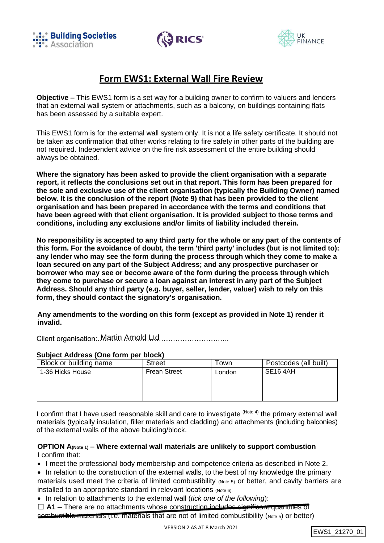





# **Form EWS1: External Wall Fire Review**

**Objective –** This EWS1 form is a set way for a building owner to confirm to valuers and lenders that an external wall system or attachments, such as a balcony, on buildings containing flats has been assessed by a suitable expert.

This EWS1 form is for the external wall system only. It is not a life safety certificate. It should not be taken as confirmation that other works relating to fire safety in other parts of the building are not required. Independent advice on the fire risk assessment of the entire building should always be obtained.

**Where the signatory has been asked to provide the client organisation with a separate report, it reflects the conclusions set out in that report. This form has been prepared for the sole and exclusive use of the client organisation (typically the Building Owner) named below. It is the conclusion of the report (Note 9) that has been provided to the client organisation and has been prepared in accordance with the terms and conditions that have been agreed with that client organisation. It is provided subject to those terms and conditions, including any exclusions and/or limits of liability included therein.**

**No responsibility is accepted to any third party for the whole or any part of the contents of this form. For the avoidance of doubt, the term 'third party' includes (but is not limited to): any lender who may see the form during the process through which they come to make a loan secured on any part of the Subject Address; and any prospective purchaser or borrower who may see or become aware of the form during the process through which they come to purchase or secure a loan against an interest in any part of the Subject Address. Should any third party (e.g. buyer, seller, lender, valuer) wish to rely on this form, they should contact the signatory's organisation.**

**Any amendments to the wording on this form (except as provided in Note 1) render it invalid.**

Client organisation: Martin Arnold Ltd............................

## **Subject Address (One form per block)**

| Block or building name | <b>Street</b>       | ⊺own   | Postcodes (all built) |
|------------------------|---------------------|--------|-----------------------|
| 1-36 Hicks House       | <b>Frean Street</b> | London | SE <sub>16</sub> 4AH  |
|                        |                     |        |                       |
|                        |                     |        |                       |
|                        |                     |        |                       |

I confirm that I have used reasonable skill and care to investigate <sup>(Note 4)</sup> the primary external wall materials (typically insulation, filler materials and cladding) and attachments (including balconies) of the external walls of the above building/block.

#### **OPTION A(Note 1) – Where external wall materials are unlikely to support combustion** I confirm that:

• I meet the professional body membership and competence criteria as described in Note 2.

- In relation to the construction of the external walls, to the best of my knowledge the primary materials used meet the criteria of limited combustibility (Note 5) or better, and cavity barriers are installed to an appropriate standard in relevant locations (Note 6).
- In relation to attachments to the external wall (*tick one of the following*):
- □ **A1** There are no attachments whose construction includes significant quantities of combustible materials (i.e. materials that are not of limited combustibility (Note 5) or better)

```
EWS1_21270_01
```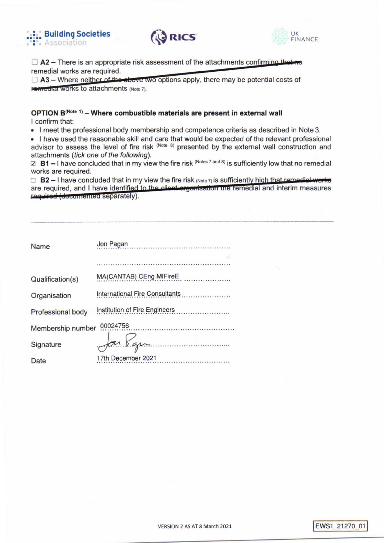





 $\Box$  A2 – There is an appropriate risk assessment of the attachments confirming that no remedial works are required.

 $\Box$  A3 – Where neither of the above two options apply, there may be potential costs of Foreculat Works to attachments (Note 7).

#### OPTION B<sup>(Note 1)</sup> - Where combustible materials are present in external wall I confirm that:

• I meet the professional body membership and competence criteria as described in Note 3.

. I have used the reasonable skill and care that would be expected of the relevant professional advisor to assess the level of fire risk (Note 8) presented by the external wall construction and attachments (tick one of the following).

 $\boxtimes$  B1 – I have concluded that in my view the fire risk (Notes 7 and 8) is sufficiently low that no remedial works are required.

 $\Box$  B2 - I have concluded that in my view the fire risk (Note 7) is sufficiently high that remodial works are required, and I have identified to the client organisation the remedial and interim measures required (documented separately).

| Name              | Jon Pagan                      |
|-------------------|--------------------------------|
|                   |                                |
| Qualification(s)  | MA(CANTAB) CEng MIFireE.       |
| Organisation      | International Fire Consultants |
| Professional body |                                |
| Membership number | 00024756                       |
| Signature         | $\int$ an Vapa                 |
| Date              | 17th December 2021             |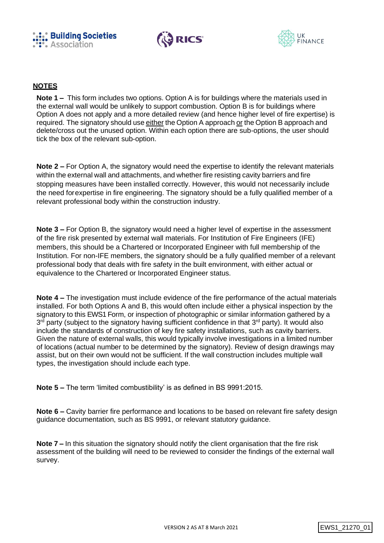





### **NOTES**

**Note 1 –** This form includes two options. Option A is for buildings where the materials used in the external wall would be unlikely to support combustion. Option B is for buildings where Option A does not apply and a more detailed review (and hence higher level of fire expertise) is required. The signatory should use either the Option A approach or the Option B approach and delete/cross out the unused option. Within each option there are sub-options, the user should tick the box of the relevant sub-option.

**Note 2 –** For Option A, the signatory would need the expertise to identify the relevant materials within the external wall and attachments, and whether fire resisting cavity barriers and fire stopping measures have been installed correctly. However, this would not necessarily include the need forexpertise in fire engineering. The signatory should be a fully qualified member of a relevant professional body within the construction industry.

**Note 3 –** For Option B, the signatory would need a higher level of expertise in the assessment of the fire risk presented by external wall materials. For Institution of Fire Engineers (IFE) members, this should be a Chartered or Incorporated Engineer with full membership of the Institution. For non-IFE members, the signatory should be a fully qualified member of a relevant professional body that deals with fire safety in the built environment, with either actual or equivalence to the Chartered or Incorporated Engineer status.

**Note 4 –** The investigation must include evidence of the fire performance of the actual materials installed. For both Options A and B, this would often include either a physical inspection by the signatory to this EWS1 Form, or inspection of photographic or similar information gathered by a 3<sup>rd</sup> party (subject to the signatory having sufficient confidence in that 3<sup>rd</sup> party). It would also include the standards of construction of key fire safety installations, such as cavity barriers. Given the nature of external walls, this would typically involve investigations in a limited number of locations (actual number to be determined by the signatory). Review of design drawings may assist, but on their own would not be sufficient. If the wall construction includes multiple wall types, the investigation should include each type.

**Note 5 –** The term 'limited combustibility' is as defined in BS 9991:2015.

**Note 6 –** Cavity barrier fire performance and locations to be based on relevant fire safety design guidance documentation, such as BS 9991, or relevant statutory guidance.

**Note 7 –** In this situation the signatory should notify the client organisation that the fire risk assessment of the building will need to be reviewed to consider the findings of the external wall survey.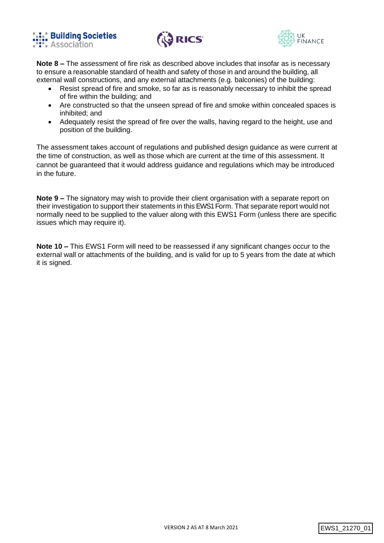





**Note 8 –** The assessment of fire risk as described above includes that insofar as is necessary to ensure a reasonable standard of health and safety of those in and around the building, all external wall constructions, and any external attachments (e.g. balconies) of the building:

- Resist spread of fire and smoke, so far as is reasonably necessary to inhibit the spread of fire within the building; and
- Are constructed so that the unseen spread of fire and smoke within concealed spaces is inhibited; and
- Adequately resist the spread of fire over the walls, having regard to the height, use and position of the building.

The assessment takes account of regulations and published design guidance as were current at the time of construction, as well as those which are current at the time of this assessment. It cannot be guaranteed that it would address guidance and regulations which may be introduced in the future.

**Note 9 –** The signatory may wish to provide their client organisation with a separate report on their investigation to support their statements in this EWS1 Form. That separate report would not normally need to be supplied to the valuer along with this EWS1 Form (unless there are specific issues which may require it).

**Note 10 –** This EWS1 Form will need to be reassessed if any significant changes occur to the external wall or attachments of the building, and is valid for up to 5 years from the date at which it is signed.